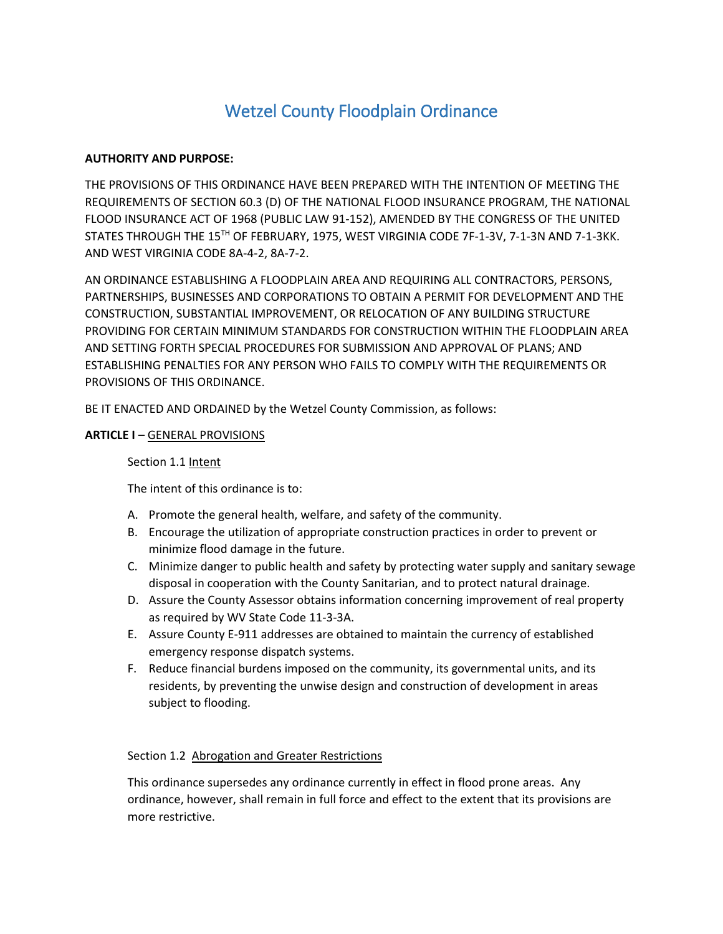# Wetzel County Floodplain Ordinance

# **AUTHORITY AND PURPOSE:**

THE PROVISIONS OF THIS ORDINANCE HAVE BEEN PREPARED WITH THE INTENTION OF MEETING THE REQUIREMENTS OF SECTION 60.3 (D) OF THE NATIONAL FLOOD INSURANCE PROGRAM, THE NATIONAL FLOOD INSURANCE ACT OF 1968 (PUBLIC LAW 91-152), AMENDED BY THE CONGRESS OF THE UNITED STATES THROUGH THE 15TH OF FEBRUARY, 1975, WEST VIRGINIA CODE 7F-1-3V, 7-1-3N AND 7-1-3KK. AND WEST VIRGINIA CODE 8A-4-2, 8A-7-2.

AN ORDINANCE ESTABLISHING A FLOODPLAIN AREA AND REQUIRING ALL CONTRACTORS, PERSONS, PARTNERSHIPS, BUSINESSES AND CORPORATIONS TO OBTAIN A PERMIT FOR DEVELOPMENT AND THE CONSTRUCTION, SUBSTANTIAL IMPROVEMENT, OR RELOCATION OF ANY BUILDING STRUCTURE PROVIDING FOR CERTAIN MINIMUM STANDARDS FOR CONSTRUCTION WITHIN THE FLOODPLAIN AREA AND SETTING FORTH SPECIAL PROCEDURES FOR SUBMISSION AND APPROVAL OF PLANS; AND ESTABLISHING PENALTIES FOR ANY PERSON WHO FAILS TO COMPLY WITH THE REQUIREMENTS OR PROVISIONS OF THIS ORDINANCE.

BE IT ENACTED AND ORDAINED by the Wetzel County Commission, as follows:

# **ARTICLE I** – GENERAL PROVISIONS

# Section 1.1 Intent

The intent of this ordinance is to:

- A. Promote the general health, welfare, and safety of the community.
- B. Encourage the utilization of appropriate construction practices in order to prevent or minimize flood damage in the future.
- C. Minimize danger to public health and safety by protecting water supply and sanitary sewage disposal in cooperation with the County Sanitarian, and to protect natural drainage.
- D. Assure the County Assessor obtains information concerning improvement of real property as required by WV State Code 11-3-3A.
- E. Assure County E-911 addresses are obtained to maintain the currency of established emergency response dispatch systems.
- F. Reduce financial burdens imposed on the community, its governmental units, and its residents, by preventing the unwise design and construction of development in areas subject to flooding.

# Section 1.2 Abrogation and Greater Restrictions

This ordinance supersedes any ordinance currently in effect in flood prone areas. Any ordinance, however, shall remain in full force and effect to the extent that its provisions are more restrictive.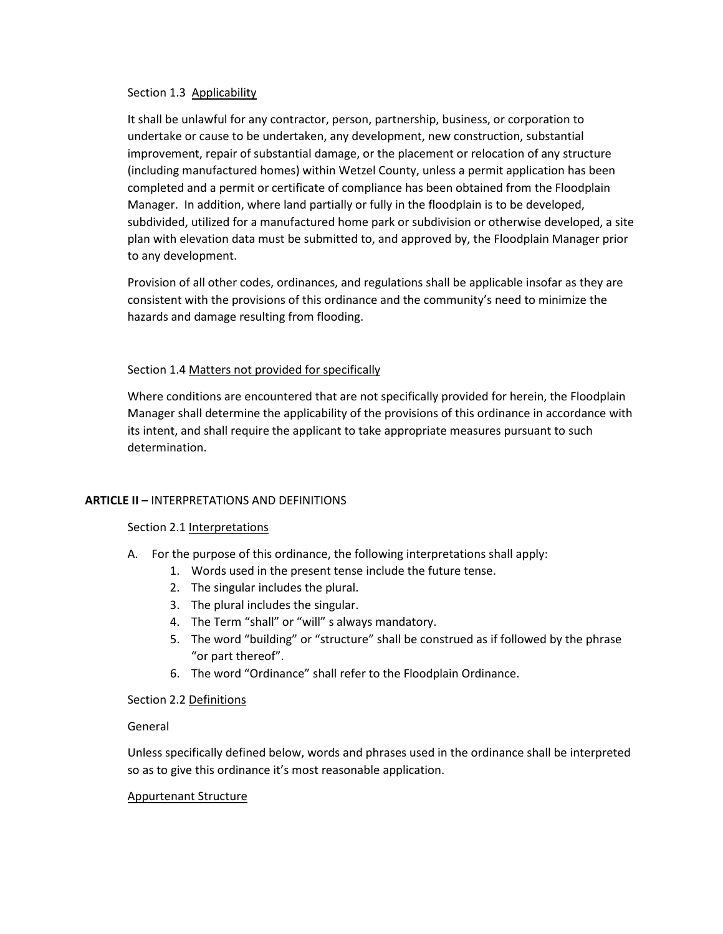#### Section 1.3 Applicability

It shall be unlawful for any contractor, person, partnership, business, or corporation to undertake or cause to be undertaken, any development, new construction, substantial improvement, repair of substantial damage, or the placement or relocation of any structure (including manufactured homes) within Wetzel County, unless a permit application has been completed and a permit or certificate of compliance has been obtained from the Floodplain Manager. In addition, where land partially or fully in the floodplain is to be developed, subdivided, utilized for a manufactured home park or subdivision or otherwise developed, a site plan with elevation data must be submitted to, and approved by, the Floodplain Manager prior to any development.

Provision of all other codes, ordinances, and regulations shall be applicable insofar as they are consistent with the provisions of this ordinance and the community's need to minimize the hazards and damage resulting from flooding.

# Section 1.4 Matters not provided for specifically

Where conditions are encountered that are not specifically provided for herein, the Floodplain Manager shall determine the applicability of the provisions of this ordinance in accordance with its intent, and shall require the applicant to take appropriate measures pursuant to such determination.

#### **ARTICLE II –** INTERPRETATIONS AND DEFINITIONS

#### Section 2.1 Interpretations

- A. For the purpose of this ordinance, the following interpretations shall apply:
	- 1. Words used in the present tense include the future tense.
	- 2. The singular includes the plural.
	- 3. The plural includes the singular.
	- 4. The Term "shall" or "will" s always mandatory.
	- 5. The word "building" or "structure" shall be construed as if followed by the phrase "or part thereof".
	- 6. The word "Ordinance" shall refer to the Floodplain Ordinance.

# Section 2.2 Definitions

#### General

Unless specifically defined below, words and phrases used in the ordinance shall be interpreted so as to give this ordinance it's most reasonable application.

#### Appurtenant Structure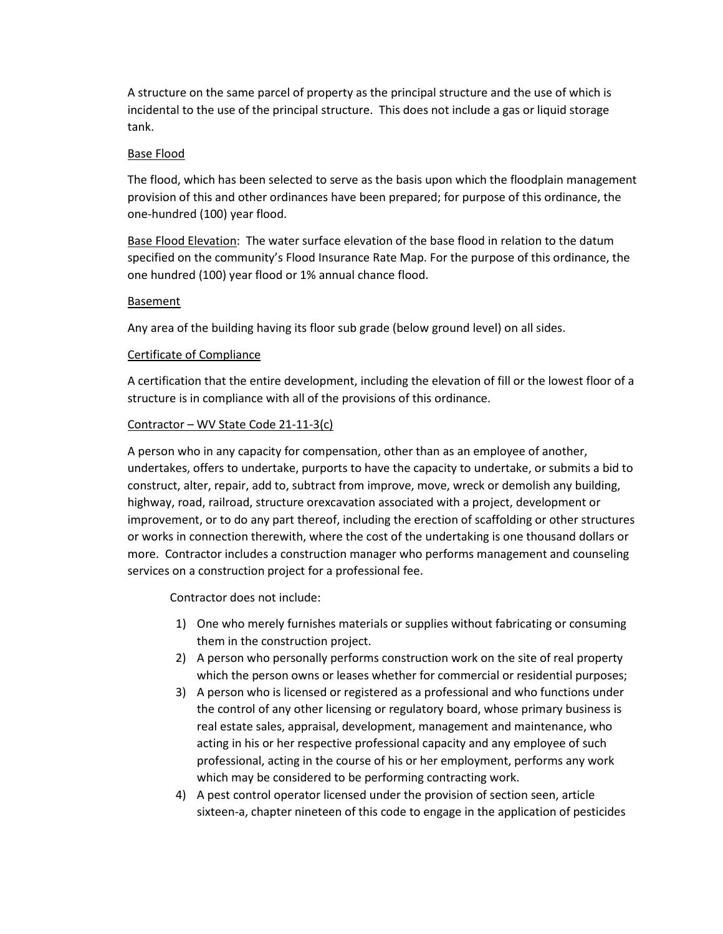A structure on the same parcel of property as the principal structure and the use of which is incidental to the use of the principal structure. This does not include a gas or liquid storage tank.

# Base Flood

The flood, which has been selected to serve as the basis upon which the floodplain management provision of this and other ordinances have been prepared; for purpose of this ordinance, the one-hundred (100) year flood.

Base Flood Elevation: The water surface elevation of the base flood in relation to the datum specified on the community's Flood Insurance Rate Map. For the purpose of this ordinance, the one hundred (100) year flood or 1% annual chance flood.

# Basement

Any area of the building having its floor sub grade (below ground level) on all sides.

# Certificate of Compliance

A certification that the entire development, including the elevation of fill or the lowest floor of a structure is in compliance with all of the provisions of this ordinance.

# Contractor – WV State Code 21-11-3(c)

A person who in any capacity for compensation, other than as an employee of another, undertakes, offers to undertake, purports to have the capacity to undertake, or submits a bid to construct, alter, repair, add to, subtract from improve, move, wreck or demolish any building, highway, road, railroad, structure orexcavation associated with a project, development or improvement, or to do any part thereof, including the erection of scaffolding or other structures or works in connection therewith, where the cost of the undertaking is one thousand dollars or more. Contractor includes a construction manager who performs management and counseling services on a construction project for a professional fee.

Contractor does not include:

- 1) One who merely furnishes materials or supplies without fabricating or consuming them in the construction project.
- 2) A person who personally performs construction work on the site of real property which the person owns or leases whether for commercial or residential purposes;
- 3) A person who is licensed or registered as a professional and who functions under the control of any other licensing or regulatory board, whose primary business is real estate sales, appraisal, development, management and maintenance, who acting in his or her respective professional capacity and any employee of such professional, acting in the course of his or her employment, performs any work which may be considered to be performing contracting work.
- 4) A pest control operator licensed under the provision of section seen, article sixteen-a, chapter nineteen of this code to engage in the application of pesticides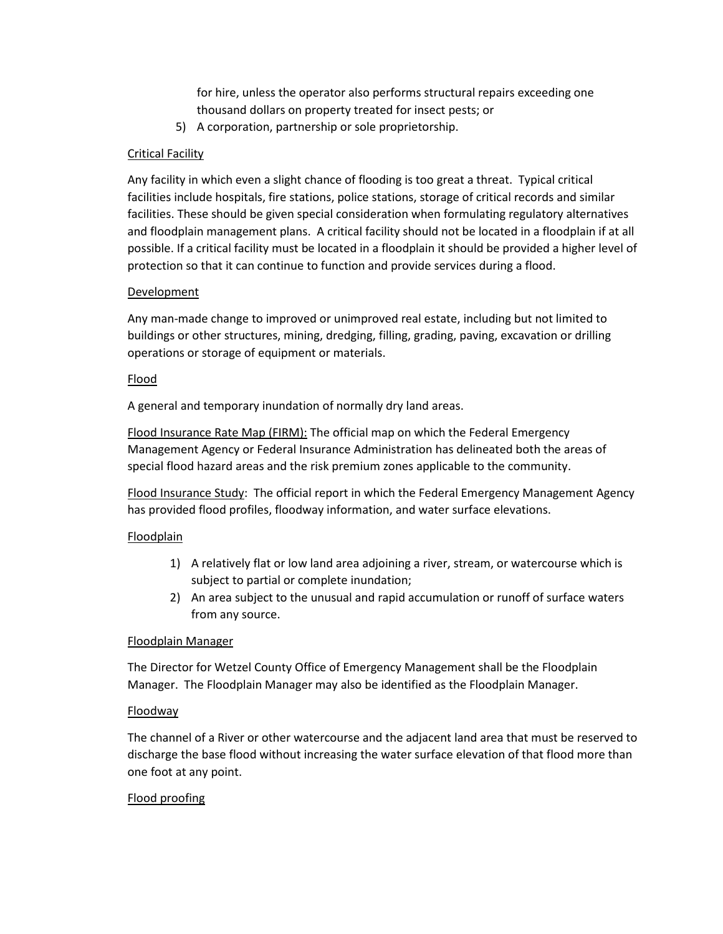for hire, unless the operator also performs structural repairs exceeding one thousand dollars on property treated for insect pests; or

5) A corporation, partnership or sole proprietorship.

# Critical Facility

Any facility in which even a slight chance of flooding is too great a threat. Typical critical facilities include hospitals, fire stations, police stations, storage of critical records and similar facilities. These should be given special consideration when formulating regulatory alternatives and floodplain management plans. A critical facility should not be located in a floodplain if at all possible. If a critical facility must be located in a floodplain it should be provided a higher level of protection so that it can continue to function and provide services during a flood.

# **Development**

Any man-made change to improved or unimproved real estate, including but not limited to buildings or other structures, mining, dredging, filling, grading, paving, excavation or drilling operations or storage of equipment or materials.

# Flood

A general and temporary inundation of normally dry land areas.

**Flood Insurance Rate Map (FIRM):** The official map on which the Federal Emergency Management Agency or Federal Insurance Administration has delineated both the areas of special flood hazard areas and the risk premium zones applicable to the community.

Flood Insurance Study: The official report in which the Federal Emergency Management Agency has provided flood profiles, floodway information, and water surface elevations.

# Floodplain

- 1) A relatively flat or low land area adjoining a river, stream, or watercourse which is subject to partial or complete inundation;
- 2) An area subject to the unusual and rapid accumulation or runoff of surface waters from any source.

# Floodplain Manager

The Director for Wetzel County Office of Emergency Management shall be the Floodplain Manager. The Floodplain Manager may also be identified as the Floodplain Manager.

# Floodway

The channel of a River or other watercourse and the adjacent land area that must be reserved to discharge the base flood without increasing the water surface elevation of that flood more than one foot at any point.

# Flood proofing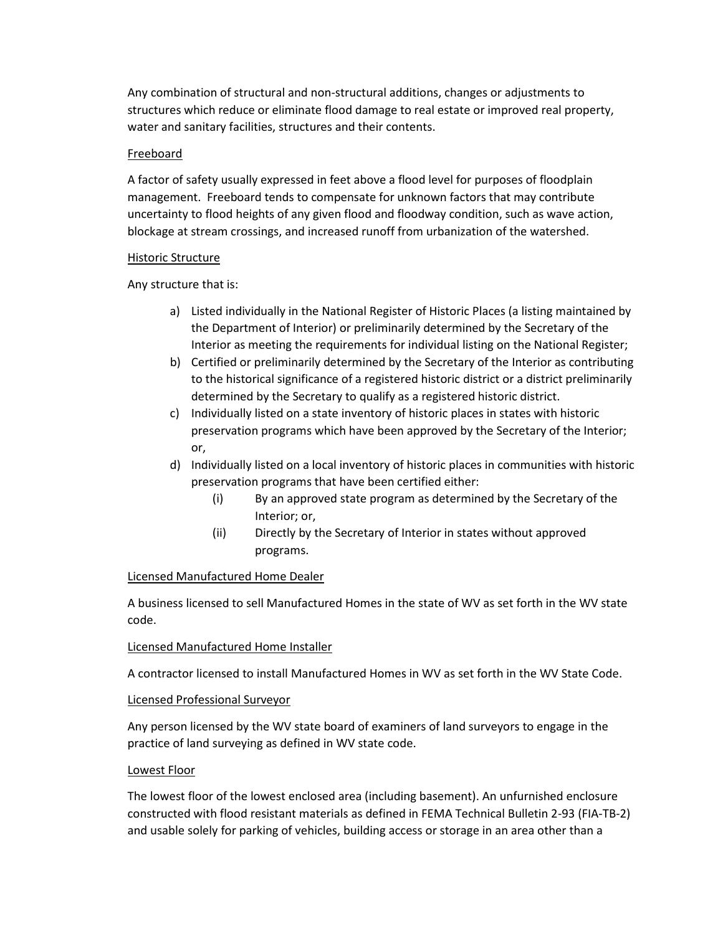Any combination of structural and non-structural additions, changes or adjustments to structures which reduce or eliminate flood damage to real estate or improved real property, water and sanitary facilities, structures and their contents.

# Freeboard

A factor of safety usually expressed in feet above a flood level for purposes of floodplain management. Freeboard tends to compensate for unknown factors that may contribute uncertainty to flood heights of any given flood and floodway condition, such as wave action, blockage at stream crossings, and increased runoff from urbanization of the watershed.

# Historic Structure

Any structure that is:

- a) Listed individually in the National Register of Historic Places (a listing maintained by the Department of Interior) or preliminarily determined by the Secretary of the Interior as meeting the requirements for individual listing on the National Register;
- b) Certified or preliminarily determined by the Secretary of the Interior as contributing to the historical significance of a registered historic district or a district preliminarily determined by the Secretary to qualify as a registered historic district.
- c) Individually listed on a state inventory of historic places in states with historic preservation programs which have been approved by the Secretary of the Interior; or,
- d) Individually listed on a local inventory of historic places in communities with historic preservation programs that have been certified either:
	- (i) By an approved state program as determined by the Secretary of the Interior; or,
	- (ii) Directly by the Secretary of Interior in states without approved programs.

# Licensed Manufactured Home Dealer

A business licensed to sell Manufactured Homes in the state of WV as set forth in the WV state code.

# Licensed Manufactured Home Installer

A contractor licensed to install Manufactured Homes in WV as set forth in the WV State Code.

# Licensed Professional Surveyor

Any person licensed by the WV state board of examiners of land surveyors to engage in the practice of land surveying as defined in WV state code.

# Lowest Floor

The lowest floor of the lowest enclosed area (including basement). An unfurnished enclosure constructed with flood resistant materials as defined in FEMA Technical Bulletin 2-93 (FIA-TB-2) and usable solely for parking of vehicles, building access or storage in an area other than a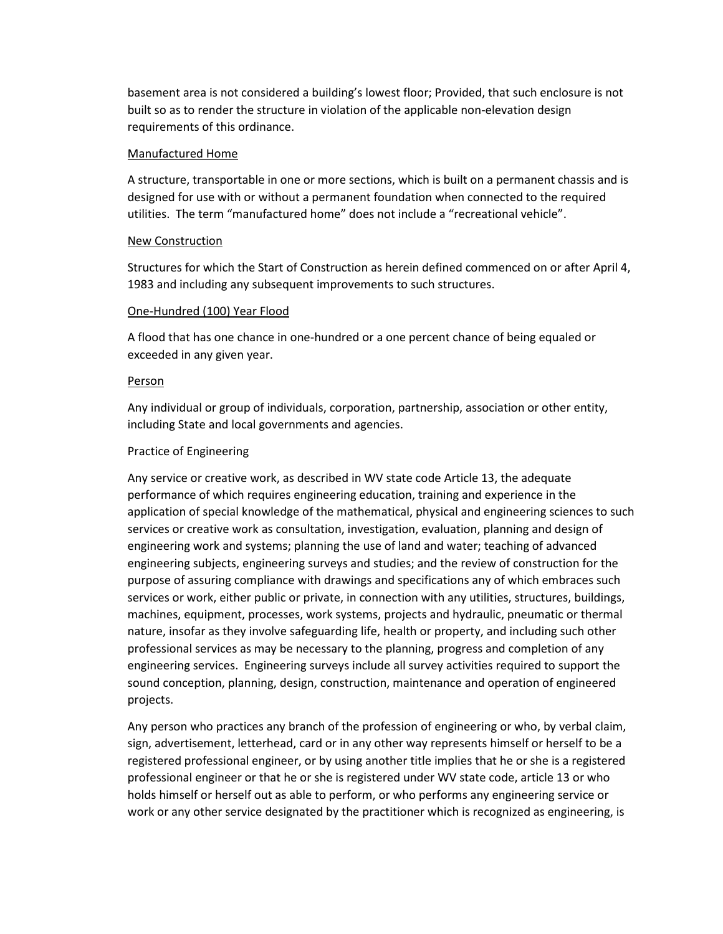basement area is not considered a building's lowest floor; Provided, that such enclosure is not built so as to render the structure in violation of the applicable non-elevation design requirements of this ordinance.

#### Manufactured Home

A structure, transportable in one or more sections, which is built on a permanent chassis and is designed for use with or without a permanent foundation when connected to the required utilities. The term "manufactured home" does not include a "recreational vehicle".

# New Construction

Structures for which the Start of Construction as herein defined commenced on or after April 4, 1983 and including any subsequent improvements to such structures.

#### One-Hundred (100) Year Flood

A flood that has one chance in one-hundred or a one percent chance of being equaled or exceeded in any given year.

#### Person

Any individual or group of individuals, corporation, partnership, association or other entity, including State and local governments and agencies.

# Practice of Engineering

Any service or creative work, as described in WV state code Article 13, the adequate performance of which requires engineering education, training and experience in the application of special knowledge of the mathematical, physical and engineering sciences to such services or creative work as consultation, investigation, evaluation, planning and design of engineering work and systems; planning the use of land and water; teaching of advanced engineering subjects, engineering surveys and studies; and the review of construction for the purpose of assuring compliance with drawings and specifications any of which embraces such services or work, either public or private, in connection with any utilities, structures, buildings, machines, equipment, processes, work systems, projects and hydraulic, pneumatic or thermal nature, insofar as they involve safeguarding life, health or property, and including such other professional services as may be necessary to the planning, progress and completion of any engineering services. Engineering surveys include all survey activities required to support the sound conception, planning, design, construction, maintenance and operation of engineered projects.

Any person who practices any branch of the profession of engineering or who, by verbal claim, sign, advertisement, letterhead, card or in any other way represents himself or herself to be a registered professional engineer, or by using another title implies that he or she is a registered professional engineer or that he or she is registered under WV state code, article 13 or who holds himself or herself out as able to perform, or who performs any engineering service or work or any other service designated by the practitioner which is recognized as engineering, is